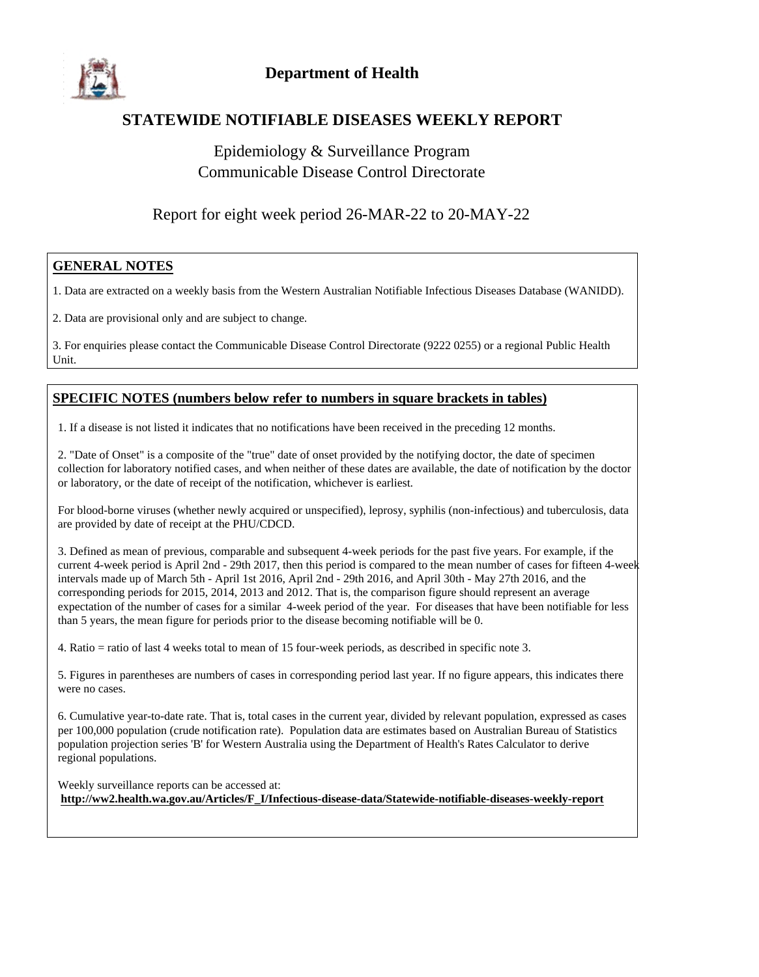

### **STATEWIDE NOTIFIABLE DISEASES WEEKLY REPORT**

## Epidemiology & Surveillance Program Communicable Disease Control Directorate

## Report for eight week period 26-MAR-22 to 20-MAY-22

#### **GENERAL NOTES**

1. Data are extracted on a weekly basis from the Western Australian Notifiable Infectious Diseases Database (WANIDD).

2. Data are provisional only and are subject to change.

3. For enquiries please contact the Communicable Disease Control Directorate (9222 0255) or a regional Public Health Unit.

#### **SPECIFIC NOTES (numbers below refer to numbers in square brackets in tables)**

1. If a disease is not listed it indicates that no notifications have been received in the preceding 12 months.

2. "Date of Onset" is a composite of the "true" date of onset provided by the notifying doctor, the date of specimen collection for laboratory notified cases, and when neither of these dates are available, the date of notification by the doctor or laboratory, or the date of receipt of the notification, whichever is earliest.

For blood-borne viruses (whether newly acquired or unspecified), leprosy, syphilis (non-infectious) and tuberculosis, data are provided by date of receipt at the PHU/CDCD.

3. Defined as mean of previous, comparable and subsequent 4-week periods for the past five years. For example, if the current 4-week period is April 2nd - 29th 2017, then this period is compared to the mean number of cases for fifteen 4-week intervals made up of March 5th - April 1st 2016, April 2nd - 29th 2016, and April 30th - May 27th 2016, and the corresponding periods for 2015, 2014, 2013 and 2012. That is, the comparison figure should represent an average expectation of the number of cases for a similar 4-week period of the year. For diseases that have been notifiable for less than 5 years, the mean figure for periods prior to the disease becoming notifiable will be 0.

4. Ratio = ratio of last 4 weeks total to mean of 15 four-week periods, as described in specific note 3.

5. Figures in parentheses are numbers of cases in corresponding period last year. If no figure appears, this indicates there were no cases.

6. Cumulative year-to-date rate. That is, total cases in the current year, divided by relevant population, expressed as cases per 100,000 population (crude notification rate). Population data are estimates based on Australian Bureau of Statistics population projection series 'B' for Western Australia using the Department of Health's Rates Calculator to derive regional populations.

Weekly surveillance reports can be accessed at: **http://ww2.health.wa.gov.au/Articles/F\_I/Infectious-disease-data/Statewide-notifiable-diseases-weekly-report**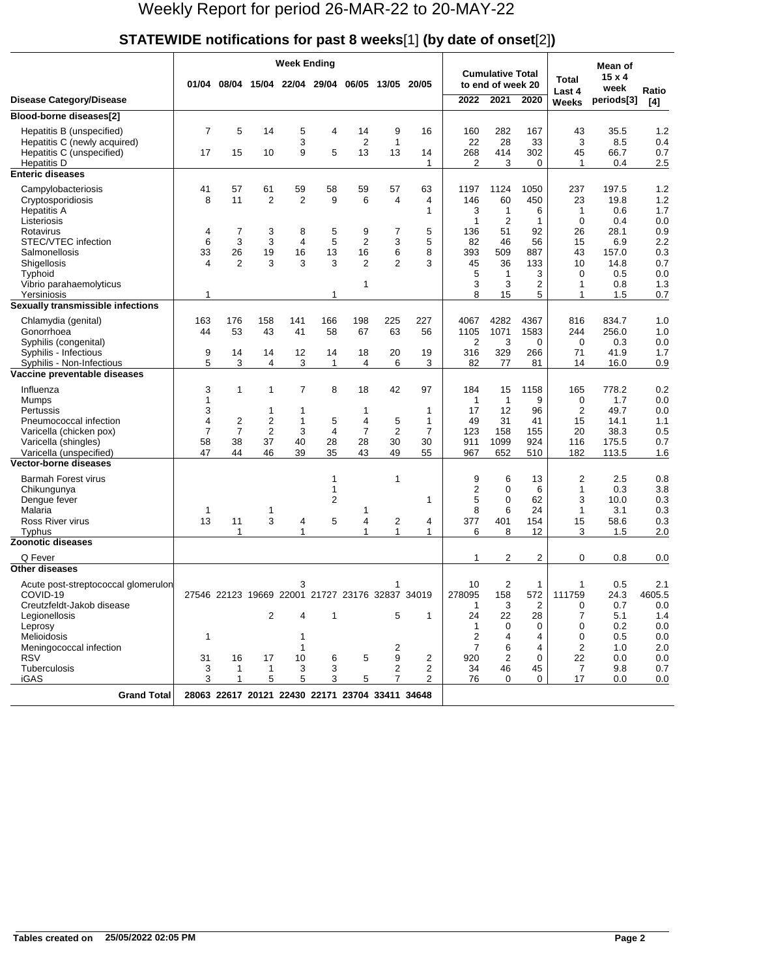## **STATEWIDE notifications for past 8 weeks**[1] **(by date of onset**[2]**)**

|                                                                                                                                                                         |                                                           | <b>Week Ending</b>                                                    |                                                      |                                                                     |                              |                                                        |                                          |                                            |                                                                 |                                                            |                                                 |                                                              | Mean of                                                     |                                                      |
|-------------------------------------------------------------------------------------------------------------------------------------------------------------------------|-----------------------------------------------------------|-----------------------------------------------------------------------|------------------------------------------------------|---------------------------------------------------------------------|------------------------------|--------------------------------------------------------|------------------------------------------|--------------------------------------------|-----------------------------------------------------------------|------------------------------------------------------------|-------------------------------------------------|--------------------------------------------------------------|-------------------------------------------------------------|------------------------------------------------------|
|                                                                                                                                                                         |                                                           |                                                                       |                                                      | 01/04 08/04 15/04 22/04 29/04                                       |                              | 06/05                                                  | 13/05 20/05                              |                                            |                                                                 | <b>Cumulative Total</b><br>to end of week 20               |                                                 | <b>Total</b>                                                 | $15 \times 4$                                               |                                                      |
| <b>Disease Category/Disease</b>                                                                                                                                         |                                                           |                                                                       |                                                      |                                                                     |                              |                                                        |                                          |                                            | 2022                                                            | 2021                                                       | 2020                                            | Last 4<br>Weeks                                              | week<br>periods[3]                                          | Ratio<br>[4]                                         |
| Blood-borne diseases[2]                                                                                                                                                 |                                                           |                                                                       |                                                      |                                                                     |                              |                                                        |                                          |                                            |                                                                 |                                                            |                                                 |                                                              |                                                             |                                                      |
| Hepatitis B (unspecified)<br>Hepatitis C (newly acquired)<br>Hepatitis C (unspecified)<br><b>Hepatitis D</b>                                                            | $\overline{7}$<br>17                                      | 5<br>15                                                               | 14<br>10                                             | 5<br>3<br>9                                                         | 4<br>5                       | 14<br>$\overline{2}$<br>13                             | 9<br>1<br>13                             | 16<br>14<br>$\mathbf{1}$                   | 160<br>22<br>268<br>2                                           | 282<br>28<br>414<br>3                                      | 167<br>33<br>302<br>$\Omega$                    | 43<br>3<br>45<br>1                                           | 35.5<br>8.5<br>66.7<br>0.4                                  | 1.2<br>0.4<br>0.7<br>2.5                             |
| <b>Enteric diseases</b>                                                                                                                                                 |                                                           |                                                                       |                                                      |                                                                     |                              |                                                        |                                          |                                            |                                                                 |                                                            |                                                 |                                                              |                                                             |                                                      |
| Campylobacteriosis<br>Cryptosporidiosis<br><b>Hepatitis A</b><br>Listeriosis<br>Rotavirus<br>STEC/VTEC infection<br>Salmonellosis<br>Shigellosis                        | 41<br>8<br>4<br>6<br>33<br>$\overline{\mathbf{4}}$        | 57<br>11<br>7<br>3<br>26<br>$\overline{2}$                            | 61<br>2<br>3<br>3<br>19<br>3                         | 59<br>$\overline{2}$<br>8<br>$\overline{4}$<br>16<br>3              | 58<br>9<br>5<br>5<br>13<br>3 | 59<br>6<br>9<br>$\overline{2}$<br>16<br>$\overline{2}$ | 57<br>4<br>7<br>3<br>6<br>$\overline{2}$ | 63<br>4<br>1<br>5<br>5<br>8<br>3           | 1197<br>146<br>3<br>1<br>136<br>82<br>393<br>45                 | 1124<br>60<br>1<br>$\overline{2}$<br>51<br>46<br>509<br>36 | 1050<br>450<br>6<br>1<br>92<br>56<br>887<br>133 | 237<br>23<br>1<br>$\mathbf 0$<br>26<br>15<br>43<br>10        | 197.5<br>19.8<br>0.6<br>0.4<br>28.1<br>6.9<br>157.0<br>14.8 | 1.2<br>1.2<br>1.7<br>0.0<br>0.9<br>2.2<br>0.3<br>0.7 |
| Typhoid<br>Vibrio parahaemolyticus                                                                                                                                      |                                                           |                                                                       |                                                      |                                                                     |                              | 1                                                      |                                          |                                            | 5<br>3                                                          | 1<br>3                                                     | 3<br>2                                          | $\Omega$<br>1                                                | 0.5<br>0.8                                                  | 0.0<br>1.3                                           |
| Yersiniosis<br>Sexually transmissible infections                                                                                                                        | 1                                                         |                                                                       |                                                      |                                                                     | 1                            |                                                        |                                          |                                            | 8                                                               | 15                                                         | 5                                               | 1                                                            | 1.5                                                         | 0.7                                                  |
| Chlamydia (genital)<br>Gonorrhoea<br>Syphilis (congenital)<br>Syphilis - Infectious                                                                                     | 163<br>44<br>9                                            | 176<br>53<br>14                                                       | 158<br>43<br>14                                      | 141<br>41<br>12                                                     | 166<br>58<br>14              | 198<br>67<br>18                                        | 225<br>63<br>20                          | 227<br>56<br>19                            | 4067<br>1105<br>2<br>316                                        | 4282<br>1071<br>3<br>329                                   | 4367<br>1583<br>0<br>266                        | 816<br>244<br>$\mathbf 0$<br>71                              | 834.7<br>256.0<br>0.3<br>41.9                               | 1.0<br>1.0<br>0.0<br>1.7                             |
| Syphilis - Non-Infectious                                                                                                                                               | 5                                                         | 3                                                                     | 4                                                    | 3                                                                   | $\mathbf{1}$                 | 4                                                      | 6                                        | 3                                          | 82                                                              | 77                                                         | 81                                              | 14                                                           | 16.0                                                        | 0.9                                                  |
| Vaccine preventable diseases<br>Influenza<br>Mumps<br>Pertussis<br>Pneumococcal infection<br>Varicella (chicken pox)<br>Varicella (shingles)<br>Varicella (unspecified) | 3<br>$\mathbf{1}$<br>3<br>4<br>$\overline{7}$<br>58<br>47 | $\mathbf{1}$<br>$\overline{\mathbf{c}}$<br>$\overline{7}$<br>38<br>44 | $\mathbf{1}$<br>1<br>2<br>$\overline{2}$<br>37<br>46 | $\overline{7}$<br>1<br>1<br>3<br>40<br>39                           | 8<br>5<br>4<br>28<br>35      | 18<br>1<br>4<br>$\overline{7}$<br>28<br>43             | 42<br>5<br>$\overline{2}$<br>30<br>49    | 97<br>1<br>1<br>$\overline{7}$<br>30<br>55 | 184<br>1<br>17<br>49<br>123<br>911<br>967                       | 15<br>1<br>12<br>31<br>158<br>1099<br>652                  | 1158<br>9<br>96<br>41<br>155<br>924<br>510      | 165<br>0<br>$\overline{2}$<br>15<br>20<br>116<br>182         | 778.2<br>1.7<br>49.7<br>14.1<br>38.3<br>175.5<br>113.5      | 0.2<br>0.0<br>0.0<br>1.1<br>0.5<br>0.7<br>1.6        |
| <b>Vector-borne diseases</b>                                                                                                                                            |                                                           |                                                                       |                                                      |                                                                     |                              |                                                        |                                          |                                            |                                                                 |                                                            |                                                 |                                                              |                                                             |                                                      |
| <b>Barmah Forest virus</b><br>Chikungunya<br>Dengue fever<br>Malaria<br>Ross River virus<br>Typhus                                                                      | 1<br>13                                                   | 11<br>1                                                               | 1<br>3                                               | 4<br>$\mathbf{1}$                                                   | 1<br>1<br>2<br>5             | 1<br>4<br>1                                            | 1<br>2<br>$\mathbf{1}$                   | $\mathbf{1}$<br>4<br>1                     | 9<br>2<br>5<br>8<br>377<br>6                                    | 6<br>0<br>$\Omega$<br>6<br>401<br>8                        | 13<br>6<br>62<br>24<br>154<br>12                | 2<br>1<br>3<br>1<br>15<br>3                                  | 2.5<br>0.3<br>10.0<br>3.1<br>58.6<br>1.5                    | 0.8<br>3.8<br>0.3<br>0.3<br>0.3<br>2.0               |
| <b>Zoonotic diseases</b>                                                                                                                                                |                                                           |                                                                       |                                                      |                                                                     |                              |                                                        |                                          |                                            |                                                                 |                                                            |                                                 |                                                              |                                                             |                                                      |
| Q Fever<br><b>Other diseases</b>                                                                                                                                        |                                                           |                                                                       |                                                      |                                                                     |                              |                                                        |                                          |                                            | 1                                                               | 2                                                          | 2                                               | 0                                                            | 0.8                                                         | 0.0                                                  |
| Acute post-streptococcal glomerulon<br>COVID-19<br>Creutzfeldt-Jakob disease<br>Legionellosis<br>Leprosy<br>Melioidosis<br>Meningococcal infection                      | 1                                                         |                                                                       | 2                                                    | 3<br>27546 22123 19669 22001 21727 23176 32837 34019<br>4<br>1<br>1 | $\mathbf 1$                  |                                                        | 1<br>5<br>2                              | $\mathbf{1}$                               | 10<br>278095<br>-1<br>24<br>$\mathbf{1}$<br>$\overline{2}$<br>7 | $\overline{2}$<br>158<br>3<br>22<br>0<br>4<br>6            | $\mathbf{1}$<br>572<br>2<br>28<br>0<br>4<br>4   | $\mathbf{1}$<br>111759<br>0<br>7<br>0<br>0<br>$\overline{2}$ | 0.5<br>24.3<br>0.7<br>5.1<br>0.2<br>0.5<br>1.0              | 2.1<br>4605.5<br>0.0<br>1.4<br>0.0<br>0.0<br>2.0     |
| <b>RSV</b><br>Tuberculosis<br><b>iGAS</b>                                                                                                                               | 31<br>3<br>3                                              | 16<br>1<br>1                                                          | 17<br>$\mathbf{1}$<br>5                              | 10<br>3<br>5                                                        | 6<br>3<br>3                  | 5<br>5                                                 | 9<br>2<br>$\overline{7}$                 | 2<br>2<br>2                                | 920<br>34<br>76                                                 | 2<br>46<br>0                                               | 0<br>45<br>0                                    | 22<br>$\overline{7}$<br>17                                   | 0.0<br>9.8<br>0.0                                           | 0.0<br>0.7<br>0.0                                    |
| <b>Grand Total</b>                                                                                                                                                      |                                                           |                                                                       |                                                      | 28063 22617 20121 22430 22171 23704 33411 34648                     |                              |                                                        |                                          |                                            |                                                                 |                                                            |                                                 |                                                              |                                                             |                                                      |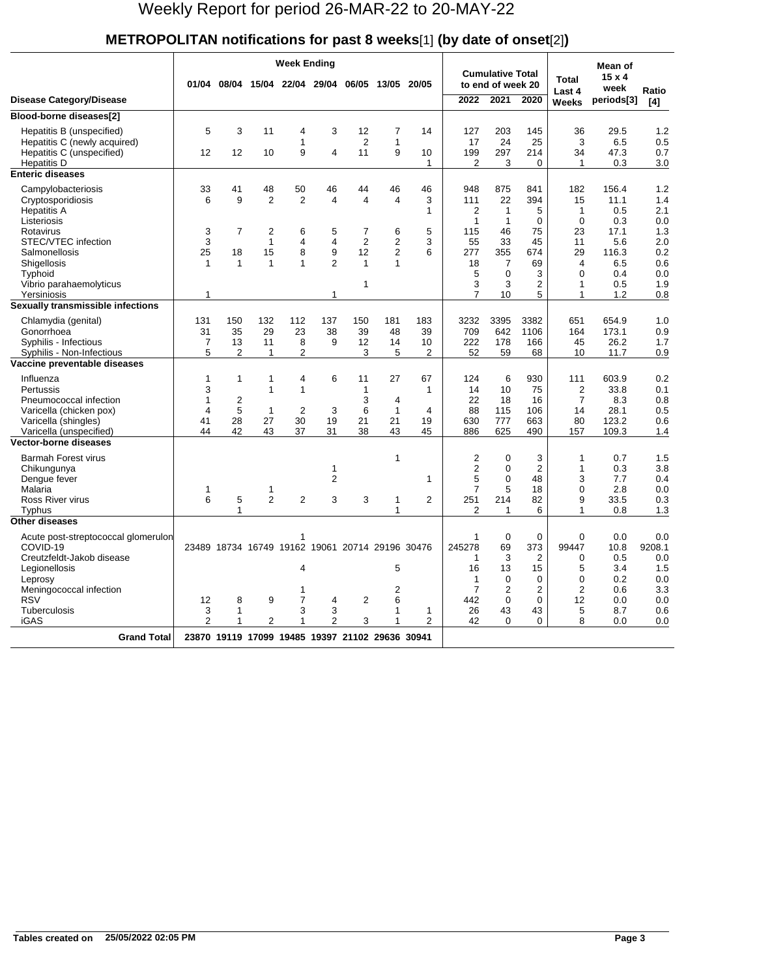#### **METROPOLITAN notifications for past 8 weeks**[1] **(by date of onset**[2]**)**

|                                                                                                                                                                                        |                                                      | <b>Week Ending</b>                              |                                                                              |                                                                                  |                                                                |                                                                                   |                                     |                                   |                                                                     |                                                                                    |                                                                                         |                                                                                  | Mean of                                                                  |                                                                    |
|----------------------------------------------------------------------------------------------------------------------------------------------------------------------------------------|------------------------------------------------------|-------------------------------------------------|------------------------------------------------------------------------------|----------------------------------------------------------------------------------|----------------------------------------------------------------|-----------------------------------------------------------------------------------|-------------------------------------|-----------------------------------|---------------------------------------------------------------------|------------------------------------------------------------------------------------|-----------------------------------------------------------------------------------------|----------------------------------------------------------------------------------|--------------------------------------------------------------------------|--------------------------------------------------------------------|
|                                                                                                                                                                                        |                                                      |                                                 |                                                                              | 01/04 08/04 15/04 22/04 29/04                                                    |                                                                |                                                                                   | 06/05 13/05                         | 20/05                             |                                                                     | <b>Cumulative Total</b><br>to end of week 20                                       |                                                                                         | $15 \times 4$<br>Total<br>week<br>Last 4                                         |                                                                          | Ratio                                                              |
| <b>Disease Category/Disease</b>                                                                                                                                                        |                                                      |                                                 |                                                                              |                                                                                  |                                                                |                                                                                   |                                     |                                   | 2022                                                                | 2021                                                                               | 2020                                                                                    | <b>Weeks</b>                                                                     | periods[3]                                                               | [4]                                                                |
| Blood-borne diseases[2]                                                                                                                                                                |                                                      |                                                 |                                                                              |                                                                                  |                                                                |                                                                                   |                                     |                                   |                                                                     |                                                                                    |                                                                                         |                                                                                  |                                                                          |                                                                    |
| Hepatitis B (unspecified)<br>Hepatitis C (newly acquired)<br>Hepatitis C (unspecified)<br><b>Hepatitis D</b>                                                                           | 5<br>12                                              | 3<br>12                                         | 11<br>10                                                                     | 4<br>1<br>9                                                                      | 3<br>4                                                         | 12<br>$\overline{2}$<br>11                                                        | 7<br>1<br>9                         | 14<br>10<br>$\mathbf{1}$          | 127<br>17<br>199<br>$\overline{2}$                                  | 203<br>24<br>297<br>3                                                              | 145<br>25<br>214<br>$\Omega$                                                            | 36<br>3<br>34<br>$\mathbf{1}$                                                    | 29.5<br>6.5<br>47.3<br>0.3                                               | 1.2<br>0.5<br>0.7<br>3.0                                           |
| <b>Enteric diseases</b>                                                                                                                                                                |                                                      |                                                 |                                                                              |                                                                                  |                                                                |                                                                                   |                                     |                                   |                                                                     |                                                                                    |                                                                                         |                                                                                  |                                                                          |                                                                    |
| Campylobacteriosis<br>Cryptosporidiosis<br><b>Hepatitis A</b><br>Listeriosis<br>Rotavirus<br>STEC/VTEC infection<br>Salmonellosis<br>Shigellosis<br>Typhoid<br>Vibrio parahaemolyticus | 33<br>6<br>3<br>3<br>25<br>$\mathbf{1}$              | 41<br>9<br>$\overline{7}$<br>18<br>$\mathbf{1}$ | 48<br>$\overline{2}$<br>$\overline{2}$<br>$\mathbf{1}$<br>15<br>$\mathbf{1}$ | 50<br>$\overline{2}$<br>6<br>4<br>8<br>$\overline{1}$                            | 46<br>$\overline{\mathbf{4}}$<br>5<br>4<br>9<br>$\overline{2}$ | 44<br>4<br>$\overline{7}$<br>$\overline{2}$<br>12<br>$\mathbf{1}$<br>$\mathbf{1}$ | 46<br>4<br>6<br>2<br>2<br>1         | 46<br>3<br>1<br>5<br>3<br>6       | 948<br>111<br>2<br>$\mathbf{1}$<br>115<br>55<br>277<br>18<br>5<br>3 | 875<br>22<br>$\mathbf{1}$<br>$\mathbf{1}$<br>46<br>33<br>355<br>7<br>$\Omega$<br>3 | 841<br>394<br>5<br>$\Omega$<br>75<br>45<br>674<br>69<br>3<br>2                          | 182<br>15<br>1<br>$\Omega$<br>23<br>11<br>29<br>4<br>$\mathbf 0$<br>$\mathbf{1}$ | 156.4<br>11.1<br>0.5<br>0.3<br>17.1<br>5.6<br>116.3<br>6.5<br>0.4<br>0.5 | 1.2<br>1.4<br>2.1<br>0.0<br>1.3<br>2.0<br>0.2<br>0.6<br>0.0<br>1.9 |
| Yersiniosis<br>Sexually transmissible infections                                                                                                                                       | $\mathbf{1}$                                         |                                                 |                                                                              |                                                                                  | 1                                                              |                                                                                   |                                     |                                   | $\overline{7}$                                                      | 10                                                                                 | 5                                                                                       | 1                                                                                | 1.2                                                                      | 0.8                                                                |
| Chlamydia (genital)<br>Gonorrhoea<br>Syphilis - Infectious<br>Syphilis - Non-Infectious                                                                                                | 131<br>31<br>$\overline{7}$<br>5                     | 150<br>35<br>13<br>$\overline{2}$               | 132<br>29<br>11<br>1                                                         | 112<br>23<br>8<br>$\overline{2}$                                                 | 137<br>38<br>9                                                 | 150<br>39<br>12<br>3                                                              | 181<br>48<br>14<br>5                | 183<br>39<br>10<br>$\overline{2}$ | 3232<br>709<br>222<br>52                                            | 3395<br>642<br>178<br>59                                                           | 3382<br>1106<br>166<br>68                                                               | 651<br>164<br>45<br>10                                                           | 654.9<br>173.1<br>26.2<br>11.7                                           | 1.0<br>0.9<br>1.7<br>0.9                                           |
| Vaccine preventable diseases                                                                                                                                                           |                                                      |                                                 |                                                                              |                                                                                  |                                                                |                                                                                   |                                     |                                   |                                                                     |                                                                                    |                                                                                         |                                                                                  |                                                                          |                                                                    |
| Influenza<br>Pertussis<br>Pneumococcal infection<br>Varicella (chicken pox)<br>Varicella (shingles)<br>Varicella (unspecified)                                                         | 1<br>3<br>$\mathbf{1}$<br>$\overline{4}$<br>41<br>44 | 1<br>$\mathbf 2$<br>5<br>28<br>42               | $\mathbf{1}$<br>$\mathbf{1}$<br>$\mathbf{1}$<br>27<br>43                     | 4<br>$\mathbf{1}$<br>$\overline{2}$<br>30<br>37                                  | 6<br>3<br>19<br>31                                             | 11<br>1<br>3<br>6<br>21<br>38                                                     | 27<br>4<br>$\mathbf{1}$<br>21<br>43 | 67<br>1<br>4<br>19<br>45          | 124<br>14<br>22<br>88<br>630<br>886                                 | 6<br>10<br>18<br>115<br>777<br>625                                                 | 930<br>75<br>16<br>106<br>663<br>490                                                    | 111<br>$\overline{2}$<br>$\overline{7}$<br>14<br>80<br>157                       | 603.9<br>33.8<br>8.3<br>28.1<br>123.2<br>109.3                           | 0.2<br>0.1<br>0.8<br>0.5<br>0.6<br>1.4                             |
| <b>Vector-borne diseases</b>                                                                                                                                                           |                                                      |                                                 |                                                                              |                                                                                  |                                                                |                                                                                   |                                     |                                   |                                                                     |                                                                                    |                                                                                         |                                                                                  |                                                                          |                                                                    |
| <b>Barmah Forest virus</b><br>Chikungunya<br>Dengue fever<br>Malaria<br>Ross River virus<br>Typhus                                                                                     | 1<br>6                                               | 5<br>$\mathbf{1}$                               | 1<br>$\overline{2}$                                                          | $\overline{2}$                                                                   | $\mathbf{1}$<br>$\overline{2}$<br>3                            | 3                                                                                 | 1<br>1<br>1                         | 1<br>2                            | 2<br>$\overline{2}$<br>5<br>$\overline{7}$<br>251<br>$\overline{2}$ | $\Omega$<br>$\mathbf 0$<br>$\Omega$<br>5<br>214<br>$\mathbf{1}$                    | 3<br>$\overline{2}$<br>48<br>18<br>82<br>6                                              | 1<br>$\mathbf{1}$<br>3<br>0<br>9<br>$\mathbf{1}$                                 | 0.7<br>0.3<br>7.7<br>2.8<br>33.5<br>0.8                                  | 1.5<br>3.8<br>0.4<br>0.0<br>0.3<br>1.3                             |
| <b>Other diseases</b>                                                                                                                                                                  |                                                      |                                                 |                                                                              |                                                                                  |                                                                |                                                                                   |                                     |                                   |                                                                     |                                                                                    |                                                                                         |                                                                                  |                                                                          |                                                                    |
| Acute post-streptococcal glomerulon<br>COVID-19<br>Creutzfeldt-Jakob disease<br>Legionellosis<br>Leprosy<br>Meningococcal infection<br><b>RSV</b>                                      | 12                                                   | 8                                               | 9                                                                            | 1<br>23489 18734 16749 19162 19061 20714 29196 30476<br>4<br>1<br>$\overline{7}$ | 4                                                              | $\overline{2}$                                                                    | 5<br>2<br>6                         |                                   | 1<br>245278<br>$\mathbf{1}$<br>16<br>1<br>$\overline{7}$<br>442     | $\mathbf 0$<br>69<br>3<br>13<br>$\mathbf 0$<br>$\overline{2}$<br>$\mathbf 0$       | $\Omega$<br>373<br>$\overline{2}$<br>15<br>$\mathbf 0$<br>$\overline{2}$<br>$\mathbf 0$ | $\mathbf 0$<br>99447<br>0<br>5<br>0<br>$\overline{2}$<br>12                      | 0.0<br>10.8<br>0.5<br>3.4<br>0.2<br>0.6<br>0.0                           | 0.0<br>9208.1<br>0.0<br>1.5<br>0.0<br>3.3<br>0.0                   |
| Tuberculosis<br><b>iGAS</b>                                                                                                                                                            | 3<br>$\overline{2}$                                  | 1<br>1                                          | $\overline{2}$                                                               | 3<br>1                                                                           | 3<br>$\overline{2}$                                            | 3                                                                                 | 1<br>1                              | 1<br>$\overline{2}$               | 26<br>42                                                            | 43<br>$\Omega$                                                                     | 43<br>0                                                                                 | 5<br>8                                                                           | 8.7<br>0.0                                                               | 0.6<br>0.0                                                         |
| <b>Grand Total</b>                                                                                                                                                                     |                                                      |                                                 |                                                                              | 23870 19119 17099 19485 19397 21102 29636 30941                                  |                                                                |                                                                                   |                                     |                                   |                                                                     |                                                                                    |                                                                                         |                                                                                  |                                                                          |                                                                    |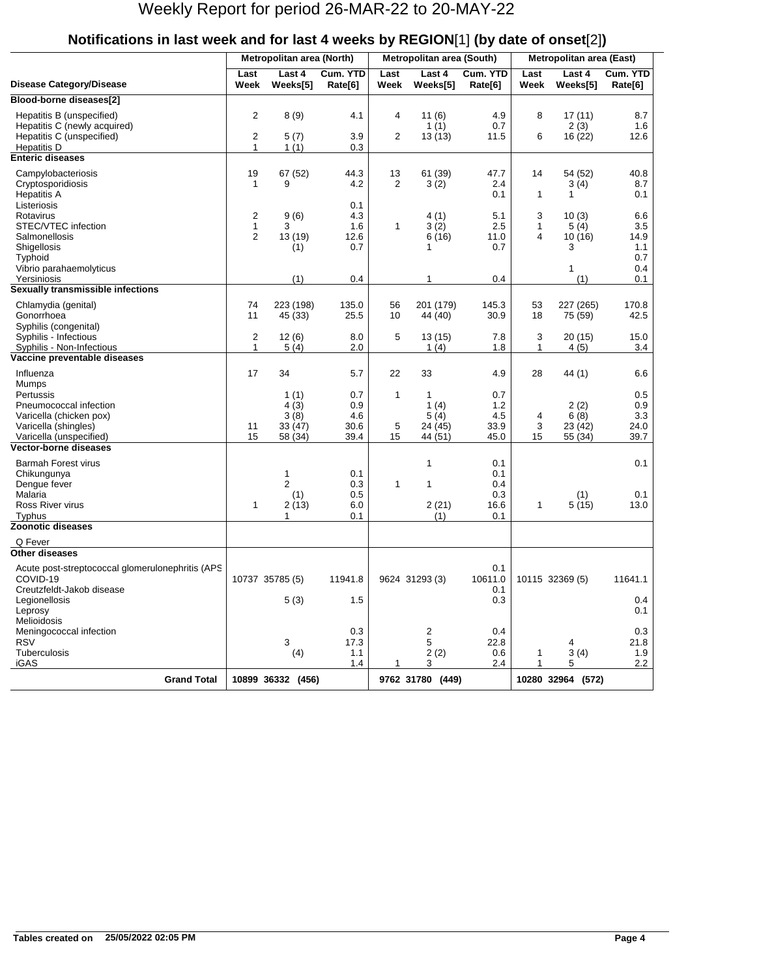|                                                                                                                                         |                                                           | Metropolitan area (North)                       |                                          |                    | Metropolitan area (South)                        |                                          | Metropolitan area (East) |                                              |                                          |  |
|-----------------------------------------------------------------------------------------------------------------------------------------|-----------------------------------------------------------|-------------------------------------------------|------------------------------------------|--------------------|--------------------------------------------------|------------------------------------------|--------------------------|----------------------------------------------|------------------------------------------|--|
| <b>Disease Category/Disease</b>                                                                                                         | Last<br>Week                                              | Last 4<br>Weeks[5]                              | Cum. YTD<br>Rate[6]                      | Last<br>Week       | Last 4<br>Weeks[5]                               | Cum. YTD<br>Rate[6]                      | Last<br>Week             | Last 4<br>Weeks[5]                           | Cum. YTD<br>Rate[6]                      |  |
| Blood-borne diseases[2]                                                                                                                 |                                                           |                                                 |                                          |                    |                                                  |                                          |                          |                                              |                                          |  |
| Hepatitis B (unspecified)<br>Hepatitis C (newly acquired)<br>Hepatitis C (unspecified)<br><b>Hepatitis D</b>                            | $\overline{2}$<br>$\overline{\mathbf{c}}$<br>$\mathbf{1}$ | 8(9)<br>5(7)<br>1(1)                            | 4.1<br>3.9<br>0.3                        | 4<br>2             | 11(6)<br>1(1)<br>13(13)                          | 4.9<br>0.7<br>11.5                       | 8<br>6                   | 17(11)<br>2(3)<br>16 (22)                    | 8.7<br>1.6<br>12.6                       |  |
| <b>Enteric diseases</b>                                                                                                                 |                                                           |                                                 |                                          |                    |                                                  |                                          |                          |                                              |                                          |  |
| Campylobacteriosis<br>Cryptosporidiosis<br><b>Hepatitis A</b><br>Listeriosis                                                            | 19<br>$\mathbf{1}$                                        | 67 (52)<br>9                                    | 44.3<br>4.2<br>0.1                       | 13<br>2            | 61 (39)<br>3(2)                                  | 47.7<br>2.4<br>0.1                       | 14<br>1                  | 54 (52)<br>3(4)<br>1                         | 40.8<br>8.7<br>0.1                       |  |
| Rotavirus<br>STEC/VTEC infection<br>Salmonellosis<br>Shigellosis<br>Typhoid<br>Vibrio parahaemolyticus                                  | $\overline{2}$<br>$\mathbf{1}$<br>2                       | 9(6)<br>3<br>13 (19)<br>(1)                     | 4.3<br>1.6<br>12.6<br>0.7                | 1                  | 4(1)<br>3(2)<br>6(16)<br>$\mathbf{1}$            | 5.1<br>2.5<br>11.0<br>0.7                | 3<br>1<br>4              | 10(3)<br>5(4)<br>10(16)<br>3<br>1            | 6.6<br>3.5<br>14.9<br>1.1<br>0.7<br>0.4  |  |
| Yersiniosis<br>Sexually transmissible infections                                                                                        |                                                           | (1)                                             | 0.4                                      |                    | 1                                                | 0.4                                      |                          | (1)                                          | 0.1                                      |  |
| Chlamydia (genital)<br>Gonorrhoea<br>Syphilis (congenital)                                                                              | 74<br>11                                                  | 223 (198)<br>45 (33)                            | 135.0<br>25.5                            | 56<br>10           | 201 (179)<br>44 (40)                             | 145.3<br>30.9                            | 53<br>18                 | 227 (265)<br>75 (59)                         | 170.8<br>42.5                            |  |
| Syphilis - Infectious<br>Syphilis - Non-Infectious                                                                                      | $\overline{2}$<br>$\mathbf{1}$                            | 12(6)<br>5(4)                                   | 8.0<br>2.0                               | 5                  | 13(15)<br>1(4)                                   | 7.8<br>1.8                               | 3<br>1                   | 20(15)<br>4(5)                               | 15.0<br>3.4                              |  |
| Vaccine preventable diseases                                                                                                            |                                                           |                                                 |                                          |                    |                                                  |                                          |                          |                                              |                                          |  |
| Influenza<br>Mumps<br>Pertussis<br>Pneumococcal infection<br>Varicella (chicken pox)<br>Varicella (shingles)<br>Varicella (unspecified) | 17<br>11<br>15                                            | 34<br>1(1)<br>4(3)<br>3(8)<br>33(47)<br>58 (34) | 5.7<br>0.7<br>0.9<br>4.6<br>30.6<br>39.4 | 22<br>1<br>5<br>15 | 33<br>1<br>1 $(4)$<br>5(4)<br>24 (45)<br>44 (51) | 4.9<br>0.7<br>1.2<br>4.5<br>33.9<br>45.0 | 28<br>4<br>3<br>15       | 44 (1)<br>2(2)<br>6(8)<br>23 (42)<br>55 (34) | 6.6<br>0.5<br>0.9<br>3.3<br>24.0<br>39.7 |  |
| <b>Vector-borne diseases</b>                                                                                                            |                                                           |                                                 |                                          |                    |                                                  |                                          |                          |                                              |                                          |  |
| <b>Barmah Forest virus</b><br>Chikungunya<br>Dengue fever<br>Malaria<br>Ross River virus<br>Typhus                                      | $\mathbf{1}$                                              | 1<br>$\overline{2}$<br>(1)<br>2(13)<br>1        | 0.1<br>0.3<br>0.5<br>6.0<br>0.1          | $\mathbf{1}$       | 1<br>1<br>2(21)<br>(1)                           | 0.1<br>0.1<br>0.4<br>0.3<br>16.6<br>0.1  | 1                        | (1)<br>5(15)                                 | 0.1<br>0.1<br>13.0                       |  |
| <b>Zoonotic diseases</b>                                                                                                                |                                                           |                                                 |                                          |                    |                                                  |                                          |                          |                                              |                                          |  |
| Q Fever                                                                                                                                 |                                                           |                                                 |                                          |                    |                                                  |                                          |                          |                                              |                                          |  |
| <b>Other diseases</b>                                                                                                                   |                                                           |                                                 |                                          |                    |                                                  |                                          |                          |                                              |                                          |  |
| Acute post-streptococcal glomerulonephritis (APS<br>COVID-19<br>Creutzfeldt-Jakob disease<br>Legionellosis<br>Leprosy                   |                                                           | 10737 35785 (5)<br>5(3)                         | 11941.8<br>1.5                           |                    | 9624 31293 (3)                                   | 0.1<br>10611.0<br>0.1<br>0.3             |                          | 10115 32369 (5)                              | 11641.1<br>0.4<br>0.1                    |  |
| Melioidosis<br>Meningococcal infection<br><b>RSV</b><br><b>Tuberculosis</b><br>iGAS                                                     |                                                           | 3<br>(4)                                        | 0.3<br>17.3<br>1.1<br>1.4                | 1                  | 2<br>5<br>2(2)<br>3                              | 0.4<br>22.8<br>0.6<br>2.4                | 1<br>1                   | 4<br>3(4)<br>5                               | 0.3<br>21.8<br>1.9<br>$2.2\,$            |  |
| <b>Grand Total</b>                                                                                                                      |                                                           | 10899 36332 (456)                               |                                          |                    | 9762 31780 (449)                                 |                                          |                          | 10280 32964 (572)                            |                                          |  |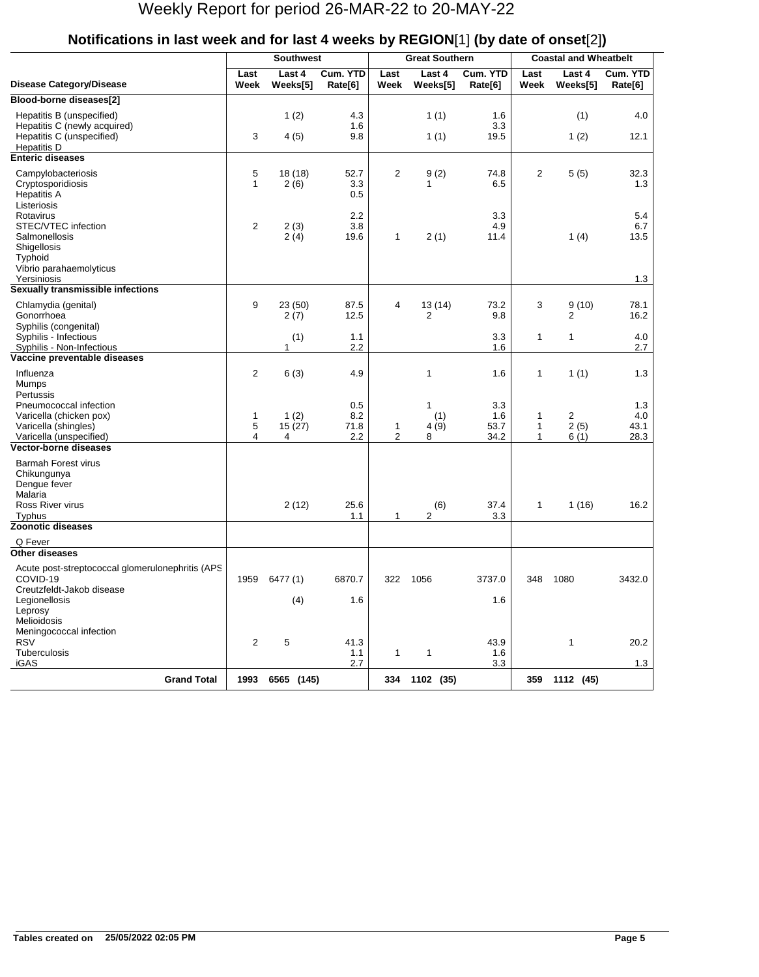|                                                                                                              |                   | <b>Southwest</b>    |                           |                     | <b>Great Southern</b>    |                            | <b>Coastal and Wheatbelt</b> |                    |                            |  |
|--------------------------------------------------------------------------------------------------------------|-------------------|---------------------|---------------------------|---------------------|--------------------------|----------------------------|------------------------------|--------------------|----------------------------|--|
| <b>Disease Category/Disease</b>                                                                              | Last<br>Week      | Last 4<br>Weeks[5]  | Cum. YTD<br>Rate[6]       | Last<br>Week        | Last 4<br>Weeks[5]       | Cum. YTD<br>Rate[6]        | Last<br>Week                 | Last 4<br>Weeks[5] | Cum. YTD<br>Rate[6]        |  |
| Blood-borne diseases[2]                                                                                      |                   |                     |                           |                     |                          |                            |                              |                    |                            |  |
| Hepatitis B (unspecified)<br>Hepatitis C (newly acquired)<br>Hepatitis C (unspecified)<br><b>Hepatitis D</b> | 3                 | 1(2)<br>4(5)        | 4.3<br>1.6<br>9.8         |                     | 1(1)<br>1(1)             | 1.6<br>3.3<br>19.5         |                              | (1)<br>1(2)        | 4.0<br>12.1                |  |
| <b>Enteric diseases</b>                                                                                      |                   |                     |                           |                     |                          |                            |                              |                    |                            |  |
| Campylobacteriosis<br>Cryptosporidiosis<br><b>Hepatitis A</b><br>Listeriosis                                 | 5<br>$\mathbf{1}$ | 18 (18)<br>2(6)     | 52.7<br>3.3<br>0.5        | 2                   | 9(2)<br>1                | 74.8<br>6.5                | $\overline{2}$               | 5(5)               | 32.3<br>1.3                |  |
| Rotavirus<br>STEC/VTEC infection<br>Salmonellosis<br>Shigellosis<br>Typhoid<br>Vibrio parahaemolyticus       | $\overline{c}$    | 2(3)<br>2(4)        | 2.2<br>3.8<br>19.6        | 1                   | 2(1)                     | 3.3<br>4.9<br>11.4         |                              | 1(4)               | 5.4<br>6.7<br>13.5         |  |
| Yersiniosis                                                                                                  |                   |                     |                           |                     |                          |                            |                              |                    | 1.3                        |  |
| Sexually transmissible infections                                                                            |                   |                     |                           |                     |                          |                            |                              |                    |                            |  |
| Chlamydia (genital)<br>Gonorrhoea<br>Syphilis (congenital)                                                   | 9                 | 23 (50)<br>2(7)     | 87.5<br>12.5              | 4                   | 13(14)<br>$\overline{2}$ | 73.2<br>9.8                | 3                            | 9(10)<br>2         | 78.1<br>16.2               |  |
| Syphilis - Infectious                                                                                        |                   | (1)<br>$\mathbf{1}$ | 1.1                       |                     |                          | 3.3                        | $\mathbf{1}$                 | 1                  | 4.0                        |  |
| Syphilis - Non-Infectious<br>Vaccine preventable diseases                                                    |                   |                     | 2.2                       |                     |                          | 1.6                        |                              |                    | 2.7                        |  |
| Influenza<br>Mumps<br>Pertussis                                                                              | $\overline{2}$    | 6(3)                | 4.9                       |                     | 1                        | 1.6                        | $\mathbf{1}$                 | 1(1)               | 1.3                        |  |
| Pneumococcal infection<br>Varicella (chicken pox)<br>Varicella (shingles)<br>Varicella (unspecified)         | 1<br>5<br>4       | 1(2)<br>15(27)<br>4 | 0.5<br>8.2<br>71.8<br>2.2 | 1<br>$\overline{2}$ | 1<br>(1)<br>4(9)<br>8    | 3.3<br>1.6<br>53.7<br>34.2 | $\mathbf 1$<br>1<br>1        | 2<br>2(5)<br>6(1)  | 1.3<br>4.0<br>43.1<br>28.3 |  |
| Vector-borne diseases                                                                                        |                   |                     |                           |                     |                          |                            |                              |                    |                            |  |
| <b>Barmah Forest virus</b><br>Chikungunya<br>Dengue fever<br>Malaria<br>Ross River virus<br><b>Typhus</b>    |                   | 2(12)               | 25.6<br>1.1               | 1                   | (6)<br>$\overline{2}$    | 37.4<br>3.3                | $\mathbf{1}$                 | 1(16)              | 16.2                       |  |
| Zoonotic diseases                                                                                            |                   |                     |                           |                     |                          |                            |                              |                    |                            |  |
| Q Fever                                                                                                      |                   |                     |                           |                     |                          |                            |                              |                    |                            |  |
| Other diseases                                                                                               |                   |                     |                           |                     |                          |                            |                              |                    |                            |  |
| Acute post-streptococcal glomerulonephritis (APS<br>COVID-19<br>Creutzfeldt-Jakob disease                    |                   | 1959 6477 (1)       | 6870.7                    | 322                 | 1056                     | 3737.0                     | 348                          | 1080               | 3432.0                     |  |
| Legionellosis<br>Leprosy<br>Melioidosis                                                                      |                   | (4)                 | 1.6                       |                     |                          | 1.6                        |                              |                    |                            |  |
| Meningococcal infection<br><b>RSV</b><br>Tuberculosis                                                        | $\overline{2}$    | 5                   | 41.3<br>1.1               | $\mathbf{1}$        | $\mathbf{1}$             | 43.9<br>1.6                |                              | 1                  | 20.2                       |  |
| iGAS                                                                                                         |                   |                     | 2.7                       |                     |                          | 3.3                        |                              |                    | 1.3                        |  |
| <b>Grand Total</b>                                                                                           | 1993              | 6565 (145)          |                           | 334                 | 1102 (35)                |                            | 359                          | 1112 (45)          |                            |  |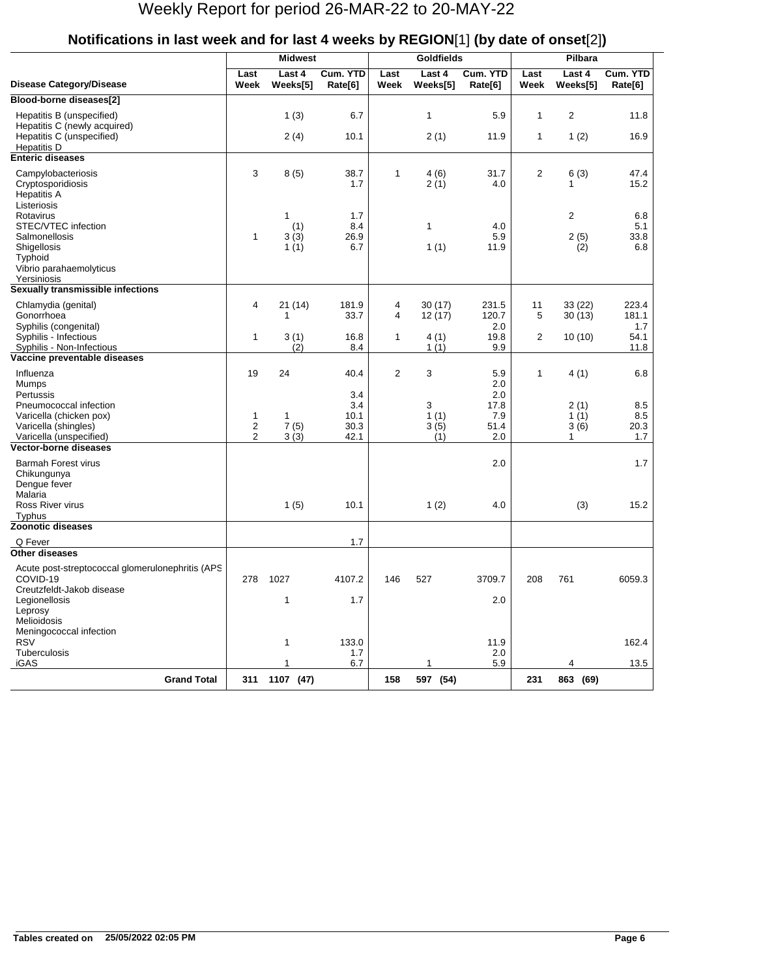|                                                                                                                                         |                                             | <b>Midwest</b>           |                                            |                | <b>Goldfields</b>             |                                                 |                              |                                   |                                  |
|-----------------------------------------------------------------------------------------------------------------------------------------|---------------------------------------------|--------------------------|--------------------------------------------|----------------|-------------------------------|-------------------------------------------------|------------------------------|-----------------------------------|----------------------------------|
| <b>Disease Category/Disease</b>                                                                                                         | Last<br>Week                                | Last 4<br>Weeks[5]       | Cum. YTD<br>Rate[6]                        | Last<br>Week   | Last 4<br>Weeks[5]            | Cum. YTD<br>Rate[6]                             | Last<br>Week                 | Last 4<br>Weeks[5]                | Cum. YTD<br>Rate[6]              |
| Blood-borne diseases[2]                                                                                                                 |                                             |                          |                                            |                |                               |                                                 |                              |                                   |                                  |
| Hepatitis B (unspecified)<br>Hepatitis C (newly acquired)<br>Hepatitis C (unspecified)<br>Hepatitis D                                   |                                             | 1(3)<br>2(4)             | 6.7<br>10.1                                |                | $\mathbf{1}$<br>2(1)          | 5.9<br>11.9                                     | $\mathbf{1}$<br>$\mathbf{1}$ | 2<br>1(2)                         | 11.8<br>16.9                     |
| <b>Enteric diseases</b>                                                                                                                 |                                             |                          |                                            |                |                               |                                                 |                              |                                   |                                  |
| Campylobacteriosis<br>Cryptosporidiosis<br><b>Hepatitis A</b><br>Listeriosis                                                            | 3                                           | 8(5)                     | 38.7<br>1.7                                | 1              | 4(6)<br>2(1)                  | 31.7<br>4.0                                     | $\overline{2}$               | 6(3)<br>1                         | 47.4<br>15.2                     |
| Rotavirus<br>STEC/VTEC infection<br>Salmonellosis<br>Shigellosis<br>Typhoid<br>Vibrio parahaemolyticus                                  | 1                                           | 1<br>(1)<br>3(3)<br>1(1) | 1.7<br>8.4<br>26.9<br>6.7                  |                | 1<br>1(1)                     | 4.0<br>5.9<br>11.9                              |                              | $\overline{2}$<br>2(5)<br>(2)     | 6.8<br>5.1<br>33.8<br>6.8        |
| Yersiniosis<br>Sexually transmissible infections                                                                                        |                                             |                          |                                            |                |                               |                                                 |                              |                                   |                                  |
| Chlamydia (genital)<br>Gonorrhoea<br>Syphilis (congenital)                                                                              | 4                                           | 21 (14)<br>1             | 181.9<br>33.7                              | 4<br>4         | 30(17)<br>12(17)              | 231.5<br>120.7<br>2.0                           | 11<br>5                      | 33(22)<br>30(13)                  | 223.4<br>181.1<br>1.7            |
| Syphilis - Infectious<br>Syphilis - Non-Infectious                                                                                      | $\mathbf{1}$                                | 3(1)<br>(2)              | 16.8<br>8.4                                | $\mathbf{1}$   | 4(1)<br>1(1)                  | 19.8<br>9.9                                     | 2                            | 10(10)                            | 54.1<br>11.8                     |
| Vaccine preventable diseases                                                                                                            |                                             |                          |                                            |                |                               |                                                 |                              |                                   |                                  |
| Influenza<br>Mumps<br>Pertussis<br>Pneumococcal infection<br>Varicella (chicken pox)<br>Varicella (shingles)<br>Varicella (unspecified) | 19<br>1<br>$\overline{c}$<br>$\overline{2}$ | 24<br>1<br>7(5)<br>3(3)  | 40.4<br>3.4<br>3.4<br>10.1<br>30.3<br>42.1 | $\overline{2}$ | 3<br>3<br>1(1)<br>3(5)<br>(1) | 5.9<br>2.0<br>2.0<br>17.8<br>7.9<br>51.4<br>2.0 | 1                            | 4(1)<br>2(1)<br>1(1)<br>3(6)<br>1 | 6.8<br>8.5<br>8.5<br>20.3<br>1.7 |
| <b>Vector-borne diseases</b>                                                                                                            |                                             |                          |                                            |                |                               |                                                 |                              |                                   |                                  |
| <b>Barmah Forest virus</b><br>Chikungunya<br>Dengue fever<br>Malaria<br>Ross River virus                                                |                                             | 1(5)                     | 10.1                                       |                | 1(2)                          | 2.0<br>4.0                                      |                              | (3)                               | 1.7<br>15.2                      |
| <b>Typhus</b><br><b>Zoonotic diseases</b>                                                                                               |                                             |                          |                                            |                |                               |                                                 |                              |                                   |                                  |
| Q Fever                                                                                                                                 |                                             |                          | 1.7                                        |                |                               |                                                 |                              |                                   |                                  |
| <b>Other diseases</b>                                                                                                                   |                                             |                          |                                            |                |                               |                                                 |                              |                                   |                                  |
| Acute post-streptococcal glomerulonephritis (APS<br>COVID-19<br>Creutzfeldt-Jakob disease<br>Legionellosis<br>Leprosy                   | 278                                         | 1027<br>1                | 4107.2<br>1.7                              | 146            | 527                           | 3709.7<br>2.0                                   | 208                          | 761                               | 6059.3                           |
| Melioidosis<br>Meningococcal infection<br><b>RSV</b>                                                                                    |                                             | 1                        | 133.0                                      |                |                               | 11.9                                            |                              |                                   | 162.4                            |
| Tuberculosis<br>iGAS                                                                                                                    |                                             | 1                        | 1.7<br>6.7                                 |                | 1                             | 2.0<br>5.9                                      |                              | 4                                 | 13.5                             |
| <b>Grand Total</b>                                                                                                                      | 311                                         | 1107 (47)                |                                            | 158            | 597 (54)                      |                                                 | 231                          | 863 (69)                          |                                  |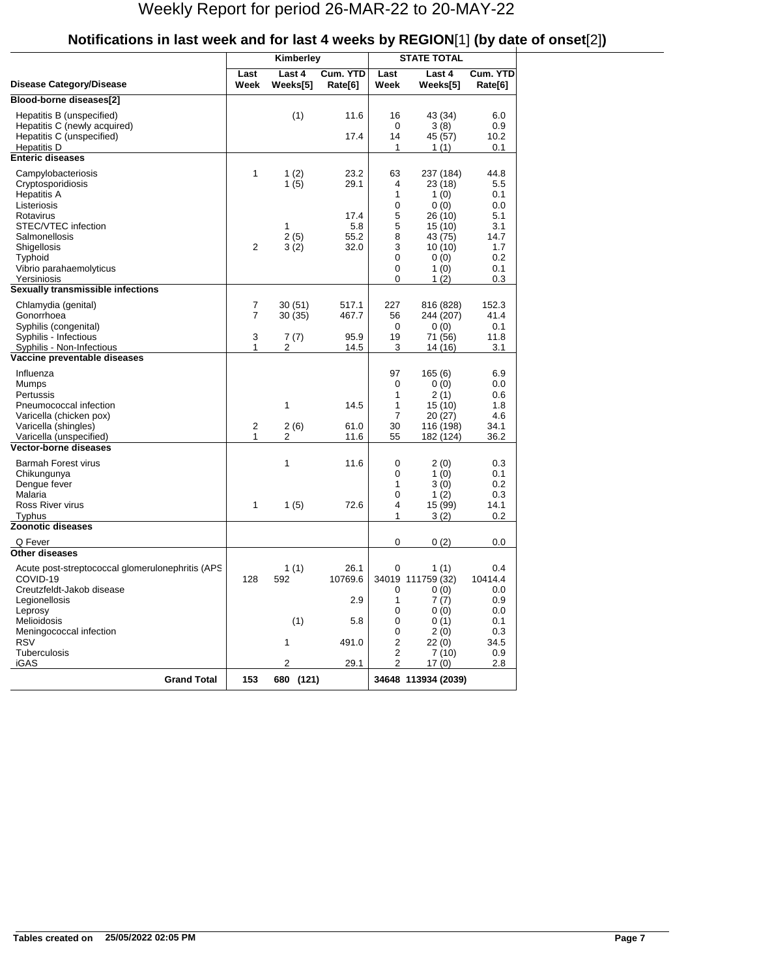|                                                                                                                  |              | Kimberley                    |                             | <b>STATE TOTAL</b>                                 |                                                               |                                         |
|------------------------------------------------------------------------------------------------------------------|--------------|------------------------------|-----------------------------|----------------------------------------------------|---------------------------------------------------------------|-----------------------------------------|
| <b>Disease Category/Disease</b>                                                                                  | Last<br>Week | Last 4<br>Weeks[5]           | Cum. YTD<br>Rate[6]         | Last<br>Week                                       | Last 4<br>Weeks[5]                                            | Cum. YTD<br>Rate[6]                     |
| Blood-borne diseases[2]                                                                                          |              |                              |                             |                                                    |                                                               |                                         |
| Hepatitis B (unspecified)<br>Hepatitis C (newly acquired)<br>Hepatitis C (unspecified)<br><b>Hepatitis D</b>     |              | (1)                          | 11.6<br>17.4                | 16<br>0<br>14<br>1                                 | 43 (34)<br>3(8)<br>45 (57)<br>1 $(1)$                         | 6.0<br>0.9<br>10.2<br>0.1               |
| <b>Enteric diseases</b>                                                                                          |              |                              |                             |                                                    |                                                               |                                         |
| Campylobacteriosis<br>Cryptosporidiosis<br><b>Hepatitis A</b><br>Listeriosis<br>Rotavirus<br>STEC/VTEC infection | 1            | 1(2)<br>1(5)<br>$\mathbf{1}$ | 23.2<br>29.1<br>17.4<br>5.8 | 63<br>4<br>1<br>0<br>5<br>5                        | 237 (184)<br>23 (18)<br>1 $(0)$<br>0(0)<br>26 (10)<br>15 (10) | 44.8<br>5.5<br>0.1<br>0.0<br>5.1<br>3.1 |
| Salmonellosis<br>Shigellosis<br>Typhoid<br>Vibrio parahaemolyticus<br>Yersiniosis                                | 2            | 2(5)<br>3(2)                 | 55.2<br>32.0                | 8<br>3<br>0<br>0<br>0                              | 43 (75)<br>10 (10)<br>0(0)<br>1 $(0)$<br>1 (2)                | 14.7<br>1.7<br>0.2<br>0.1<br>0.3        |
| Sexually transmissible infections                                                                                |              |                              |                             |                                                    |                                                               |                                         |
| Chlamydia (genital)<br>Gonorrhoea<br>Syphilis (congenital)<br>Syphilis - Infectious                              | 7<br>7<br>3  | 30 (51)<br>30 (35)<br>7(7)   | 517.1<br>467.7<br>95.9      | 227<br>56<br>0<br>19                               | 816 (828)<br>244 (207)<br>0(0)<br>71 (56)                     | 152.3<br>41.4<br>0.1<br>11.8            |
| Syphilis - Non-Infectious                                                                                        | 1            | 2                            | 14.5                        | 3                                                  | 14 (16)                                                       | 3.1                                     |
| Vaccine preventable diseases                                                                                     |              |                              |                             |                                                    |                                                               |                                         |
| Influenza<br>Mumps<br>Pertussis<br>Pneumococcal infection<br>Varicella (chicken pox)                             |              | 1                            | 14.5                        | 97<br>0<br>1<br>1<br>$\overline{7}$                | 165(6)<br>0(0)<br>2(1)<br>15 (10)<br>20 (27)                  | 6.9<br>0.0<br>0.6<br>1.8<br>4.6         |
| Varicella (shingles)                                                                                             | 2<br>1       | 2(6)                         | 61.0                        | 30                                                 | 116 (198)                                                     | 34.1                                    |
| Varicella (unspecified)<br><b>Vector-borne diseases</b>                                                          |              | 2                            | 11.6                        | 55                                                 | 182 (124)                                                     | 36.2                                    |
| <b>Barmah Forest virus</b><br>Chikungunya<br>Dengue fever<br>Malaria                                             |              | 1                            | 11.6                        | 0<br>0<br>1<br>0                                   | 2(0)<br>1 $(0)$<br>3 (0)<br>1(2)                              | 0.3<br>0.1<br>0.2<br>0.3                |
| Ross River virus<br>Typhus                                                                                       | 1            | 1(5)                         | 72.6                        | 4<br>1                                             | 15 (99)<br>3 (2)                                              | 14.1<br>0.2                             |
| Zoonotic diseases                                                                                                |              |                              |                             |                                                    |                                                               |                                         |
| Q Fever                                                                                                          |              |                              |                             | 0                                                  | 0(2)                                                          | 0.0                                     |
| <b>Other diseases</b>                                                                                            |              |                              |                             |                                                    |                                                               |                                         |
| Acute post-streptococcal glomerulonephritis (APS<br>COVID-19<br>Creutzfeldt-Jakob disease<br>Legionellosis       | 128          | 1(1)<br>592                  | 26.1<br>10769.6<br>2.9      | 0<br>0<br>1                                        | 1(1)<br>34019 111759 (32)<br>0(0)<br>7(7)                     | 0.4<br>10414.4<br>0.0<br>0.9            |
| Leprosy<br>Melioidosis<br>Meningococcal infection                                                                |              | (1)                          | 5.8                         | 0<br>0<br>0                                        | 0(0)<br>0(1)<br>2(0)                                          | 0.0<br>0.1<br>0.3                       |
| <b>RSV</b><br>Tuberculosis<br><b>iGAS</b>                                                                        |              | $\mathbf{1}$<br>2            | 491.0<br>29.1               | $\overline{c}$<br>$\overline{c}$<br>$\overline{2}$ | 22(0)<br>7(10)<br>17(0)                                       | 34.5<br>0.9<br>2.8                      |
| <b>Grand Total</b>                                                                                               | 153          | 680 (121)                    |                             |                                                    | 34648 113934 (2039)                                           |                                         |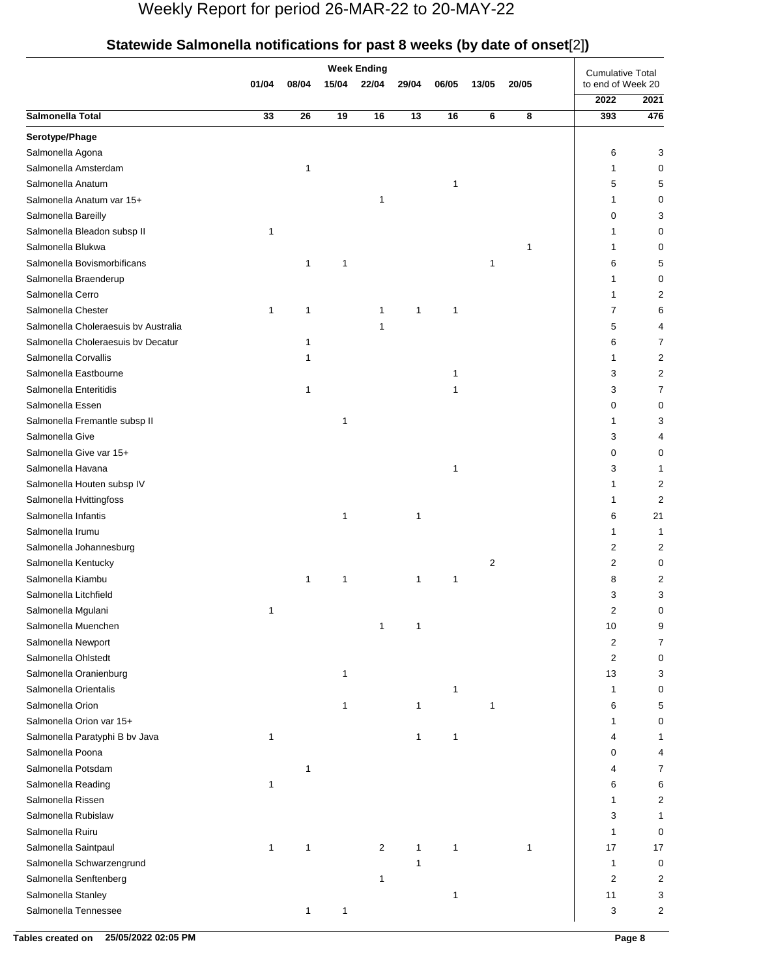|                                      |             |              |       | <b>Week Ending</b> |       |       |       |       | <b>Cumulative Total</b> |      |
|--------------------------------------|-------------|--------------|-------|--------------------|-------|-------|-------|-------|-------------------------|------|
|                                      | 01/04       | 08/04        | 15/04 | 22/04              | 29/04 | 06/05 | 13/05 | 20/05 | to end of Week 20       |      |
|                                      |             |              |       |                    |       |       |       |       | 2022                    | 2021 |
| Salmonella Total                     | 33          | 26           | 19    | 16                 | 13    | 16    | 6     | 8     | 393                     | 476  |
| Serotype/Phage                       |             |              |       |                    |       |       |       |       |                         |      |
| Salmonella Agona                     |             |              |       |                    |       |       |       |       | 6                       | 3    |
| Salmonella Amsterdam                 |             | $\mathbf 1$  |       |                    |       |       |       |       |                         | 0    |
| Salmonella Anatum                    |             |              |       |                    |       | 1     |       |       | 5                       | 5    |
| Salmonella Anatum var 15+            |             |              |       | 1                  |       |       |       |       |                         | 0    |
| Salmonella Bareilly                  |             |              |       |                    |       |       |       |       | 0                       | 3    |
| Salmonella Bleadon subsp II          | 1           |              |       |                    |       |       |       |       |                         | 0    |
| Salmonella Blukwa                    |             |              |       |                    |       |       |       | 1     |                         | 0    |
| Salmonella Bovismorbificans          |             | 1            | 1     |                    |       |       | 1     |       | 6                       | 5    |
| Salmonella Braenderup                |             |              |       |                    |       |       |       |       |                         | 0    |
| Salmonella Cerro                     |             |              |       |                    |       |       |       |       |                         | 2    |
| Salmonella Chester                   | $\mathbf 1$ | 1            |       | 1                  | 1     | 1     |       |       | 7                       | 6    |
| Salmonella Choleraesuis bv Australia |             |              |       | $\mathbf 1$        |       |       |       |       | 5                       | 4    |
| Salmonella Choleraesuis bv Decatur   |             |              |       |                    |       |       |       |       | 6                       | 7    |
| Salmonella Corvallis                 |             |              |       |                    |       |       |       |       | 1                       | 2    |
| Salmonella Eastbourne                |             |              |       |                    |       |       |       |       | 3                       | 2    |
| Salmonella Enteritidis               |             | 1            |       |                    |       |       |       |       | 3                       | 7    |
| Salmonella Essen                     |             |              |       |                    |       |       |       |       | 0                       | 0    |
| Salmonella Fremantle subsp II        |             |              | 1     |                    |       |       |       |       |                         | 3    |
| Salmonella Give                      |             |              |       |                    |       |       |       |       | 3                       | 4    |
| Salmonella Give var 15+              |             |              |       |                    |       |       |       |       | 0                       | 0    |
| Salmonella Havana                    |             |              |       |                    |       | 1     |       |       | 3                       | 1    |
| Salmonella Houten subsp IV           |             |              |       |                    |       |       |       |       |                         | 2    |
| Salmonella Hvittingfoss              |             |              |       |                    |       |       |       |       | 1                       | 2    |
| Salmonella Infantis                  |             |              | 1     |                    | 1     |       |       |       | 6                       | 21   |
| Salmonella Irumu                     |             |              |       |                    |       |       |       |       | 1                       |      |
| Salmonella Johannesburg              |             |              |       |                    |       |       |       |       | 2                       | 2    |
| Salmonella Kentucky                  |             |              |       |                    |       |       | 2     |       | 2                       | 0    |
| Salmonella Kiambu                    |             | $\mathbf{1}$ | 1     |                    | 1     | 1     |       |       | 8                       | 2    |
| Salmonella Litchfield                |             |              |       |                    |       |       |       |       | 3                       | 3    |
| Salmonella Mgulani                   | 1           |              |       |                    |       |       |       |       | 2                       | 0    |
| Salmonella Muenchen                  |             |              |       | 1                  | 1     |       |       |       | 10                      | 9    |
| Salmonella Newport                   |             |              |       |                    |       |       |       |       | 2                       | 7    |
| Salmonella Ohlstedt                  |             |              |       |                    |       |       |       |       | 2                       | 0    |
| Salmonella Oranienburg               |             |              | 1     |                    |       |       |       |       | 13                      | 3    |
| Salmonella Orientalis                |             |              |       |                    |       | 1     |       |       | 1                       | 0    |
| Salmonella Orion                     |             |              | 1     |                    | 1     |       | 1     |       | 6                       | 5    |
| Salmonella Orion var 15+             |             |              |       |                    |       |       |       |       |                         | 0    |
| Salmonella Paratyphi B bv Java       | 1           |              |       |                    | 1     | 1     |       |       |                         |      |
| Salmonella Poona                     |             |              |       |                    |       |       |       |       | 0                       | 4    |
| Salmonella Potsdam                   |             | 1            |       |                    |       |       |       |       | 4                       |      |
| Salmonella Reading                   |             |              |       |                    |       |       |       |       |                         | 7    |
|                                      | 1           |              |       |                    |       |       |       |       | 6                       | 6    |
| Salmonella Rissen                    |             |              |       |                    |       |       |       |       |                         | 2    |
| Salmonella Rubislaw                  |             |              |       |                    |       |       |       |       | 3                       | 1    |
| Salmonella Ruiru                     |             |              |       |                    |       |       |       |       | 1                       | 0    |
| Salmonella Saintpaul                 | 1           | $\mathbf{1}$ |       | $\overline{c}$     | 1     | 1     |       | 1     | 17                      | 17   |
| Salmonella Schwarzengrund            |             |              |       |                    | 1     |       |       |       | 1                       | 0    |
| Salmonella Senftenberg               |             |              |       | $\mathbf 1$        |       |       |       |       | 2                       | 2    |
| Salmonella Stanley                   |             |              |       |                    |       | 1     |       |       | 11                      | 3    |
| Salmonella Tennessee                 |             | 1            | 1     |                    |       |       |       |       | 3                       | 2    |

## **Statewide Salmonella notifications for past 8 weeks (by date of onset**[2]**)**